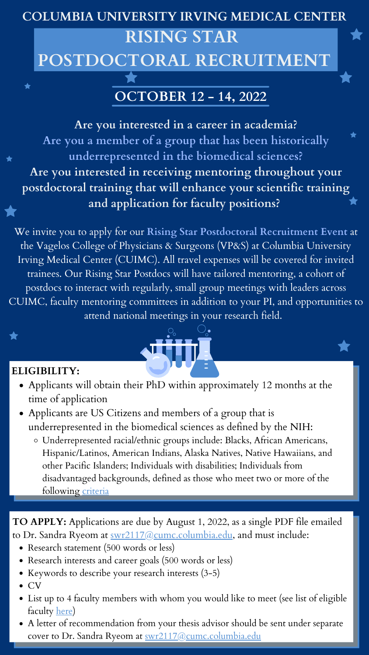#### **COLUMBIA UNIVERSITY IRVING MEDICAL CENTER**

## **RISING STAR POSTDOCTORAL RECRUITMENT**

**Are you interested in a career in academia? Are you a member of a group that has been historically underrepresented in the biomedical sciences? Are you interested in receiving mentoring throughout your postdoctoral training that will enhance your scientific training and application for faculty positions?**

- Applicants will obtain their PhD within approximately 12 months at the time of application
- Applicants are US Citizens and members of a group that is underrepresented in the biomedical sciences as defined by the NIH:
	- Underrepresented racial/ethnic groups include: Blacks, African Americans, Hispanic/Latinos, American Indians, Alaska Natives, Native Hawaiians, and other Pacific Islanders; Individuals with disabilities; Individuals from disadvantaged backgrounds, defined as those who meet two or [more](https://grants.nih.gov/grants/guide/notice-files/NOT-OD-20-031.html) of the following [criteria](https://grants.nih.gov/grants/guide/notice-files/NOT-OD-20-031.html)

We invite you to apply for our **Rising Star Postdoctoral Recruitment Event** at the Vagelos College of Physicians & Surgeons (VP&S) at Columbia University Irving Medical Center (CUIMC). All travel expenses will be covered for invited trainees. Our Rising Star Postdocs will have tailored mentoring, a cohort of postdocs to interact with regularly, small group meetings with leaders across CUIMC, faculty mentoring committees in addition to your PI, and opportunities to attend national meetings in your research field.

- Research statement (500 words or less)
- Research interests and career goals (500 words or less)  $\bullet$
- Keywords to describe your research interests (3-5)
- CV
- List up to 4 faculty members with whom you would like to meet (see list of eligible faculty [here\)](https://docs.google.com/spreadsheets/d/1SnDIiDRpd51oO-CApDeszUtgA7GTLKSiFbnZFlOcfRc/edit#gid=0)
- A letter of recommendation from your thesis advisor should be sent under separate cover to Dr. Sandra Ryeom at <u>[swr2117@cumc.columbia.edu](mailto:swr2117@cumc.columbia.edu)</u>

## **OCTOBER 12 - 14, 2022**

**TO APPLY:** Applications are due by August 1, 2022, as a single PDF file emailed to Dr. Sandra Ryeom at [swr2117@cumc.columbia.edu,](mailto:swr2117@cumc.columbia.edu) and must include:

#### **ELIGIBILITY:**